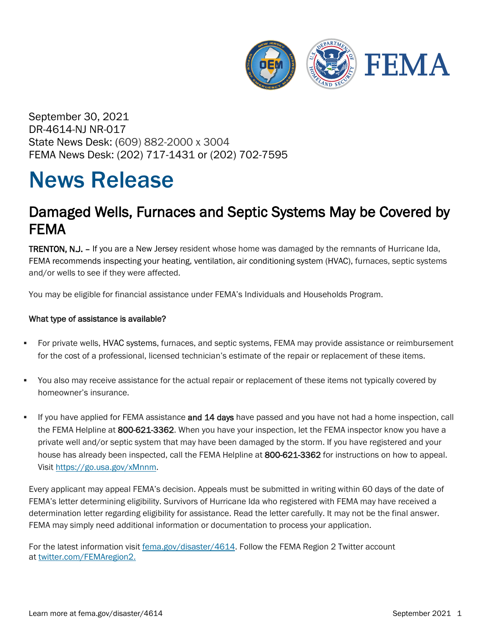

September 30, 2021 DR-4614-NJ NR-017 State News Desk: (609) 882-2000 x 3004 FEMA News Desk: (202) 717-1431 or (202) 702-7595

## News Release

## Damaged Wells, Furnaces and Septic Systems May be Covered by FEMA

**TRENTON, N.J.** – If you are a New Jersey resident whose home was damaged by the remnants of Hurricane Ida, FEMA recommends inspecting your heating, ventilation, air conditioning system (HVAC), furnaces, septic systems and/or wells to see if they were affected.

You may be eligible for financial assistance under FEMA's Individuals and Households Program.

## What type of assistance is available?

- For private wells, HVAC systems, furnaces, and septic systems, FEMA may provide assistance or reimbursement for the cost of a professional, licensed technician's estimate of the repair or replacement of these items.
- You also may receive assistance for the actual repair or replacement of these items not typically covered by homeowner's insurance.
- If you have applied for FEMA assistance and 14 days have passed and you have not had a home inspection, call the FEMA Helpline at 800-621-3362. When you have your inspection, let the FEMA inspector know you have a private well and/or septic system that may have been damaged by the storm. If you have registered and your house has already been inspected, call the FEMA Helpline at 800-621-3362 for instructions on how to appeal. Visit [https://go.usa.gov/xMnnm.](https://go.usa.gov/xMnnm)

Every applicant may appeal FEMA's decision. Appeals must be submitted in writing within 60 days of the date of FEMA's letter determining eligibility. Survivors of Hurricane Ida who registered with FEMA may have received a determination letter regarding eligibility for assistance. Read the letter carefully. It may not be the final answer. FEMA may simply need additional information or documentation to process your application.

For the latest information visit [fema.gov/disaster/4614.](http://www.fema.gov/disaster/4614) Follow the FEMA Region 2 Twitter account at [twitter.com/FEMAregion2.](https://twitter.com/femaregion2)